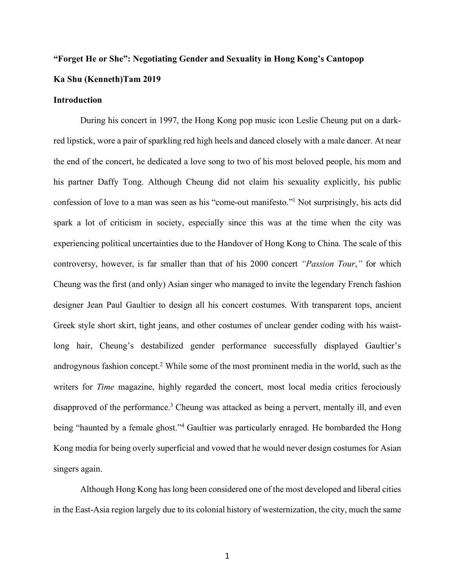# **"Forget He or She": Negotiating Gender and Sexuality in Hong Kong's Cantopop Ka Shu (Kenneth)Tam 2019**

#### **Introduction**

During his concert in 1997, the Hong Kong pop music icon Leslie Cheung put on a darkred lipstick, wore a pair of sparkling red high heels and danced closely with a male dancer. At near the end of the concert, he dedicated a love song to two of his most beloved people, his mom and his partner Daffy Tong. Although Cheung did not claim his sexuality explicitly, his public confession of love to a man was seen as his "come-out manifesto."1 Not surprisingly, his acts did spark a lot of criticism in society, especially since this was at the time when the city was experiencing political uncertainties due to the Handover of Hong Kong to China. The scale of this controversy, however, is far smaller than that of his 2000 concert *"Passion Tour*,*"* for which Cheung was the first (and only) Asian singer who managed to invite the legendary French fashion designer Jean Paul Gaultier to design all his concert costumes. With transparent tops, ancient Greek style short skirt, tight jeans, and other costumes of unclear gender coding with his waistlong hair, Cheung's destabilized gender performance successfully displayed Gaultier's androgynous fashion concept. <sup>2</sup> While some of the most prominent media in the world, such as the writers for *Time* magazine, highly regarded the concert, most local media critics ferociously disapproved of the performance.<sup>3</sup> Cheung was attacked as being a pervert, mentally ill, and even being "haunted by a female ghost."4 Gaultier was particularly enraged. He bombarded the Hong Kong media for being overly superficial and vowed that he would never design costumes for Asian singers again.

Although Hong Kong has long been considered one of the most developed and liberal cities in the East-Asia region largely due to its colonial history of westernization, the city, much the same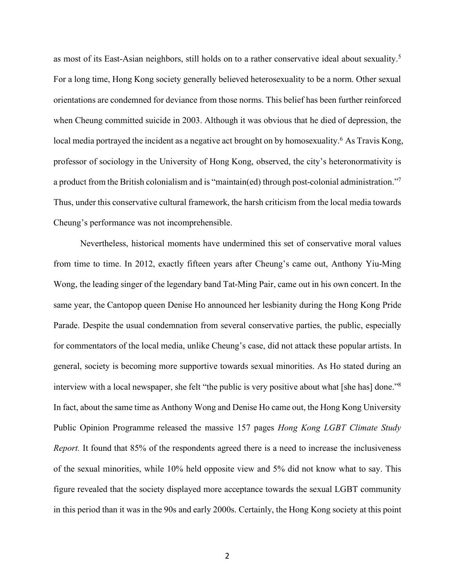as most of its East-Asian neighbors, still holds on to a rather conservative ideal about sexuality.5 For a long time, Hong Kong society generally believed heterosexuality to be a norm. Other sexual orientations are condemned for deviance from those norms. This belief has been further reinforced when Cheung committed suicide in 2003. Although it was obvious that he died of depression, the local media portrayed the incident as a negative act brought on by homosexuality.<sup>6</sup> As Travis Kong, professor of sociology in the University of Hong Kong, observed, the city's heteronormativity is a product from the British colonialism and is "maintain(ed) through post-colonial administration."7 Thus, under this conservative cultural framework, the harsh criticism from the local media towards Cheung's performance was not incomprehensible.

Nevertheless, historical moments have undermined this set of conservative moral values from time to time. In 2012, exactly fifteen years after Cheung's came out, Anthony Yiu-Ming Wong, the leading singer of the legendary band Tat-Ming Pair, came out in his own concert. In the same year, the Cantopop queen Denise Ho announced her lesbianity during the Hong Kong Pride Parade. Despite the usual condemnation from several conservative parties, the public, especially for commentators of the local media, unlike Cheung's case, did not attack these popular artists. In general, society is becoming more supportive towards sexual minorities. As Ho stated during an interview with a local newspaper, she felt "the public is very positive about what [she has] done."<sup>8</sup> In fact, about the same time as Anthony Wong and Denise Ho came out, the Hong Kong University Public Opinion Programme released the massive 157 pages *Hong Kong LGBT Climate Study Report.* It found that 85% of the respondents agreed there is a need to increase the inclusiveness of the sexual minorities, while 10% held opposite view and 5% did not know what to say. This figure revealed that the society displayed more acceptance towards the sexual LGBT community in this period than it was in the 90s and early 2000s. Certainly, the Hong Kong society at this point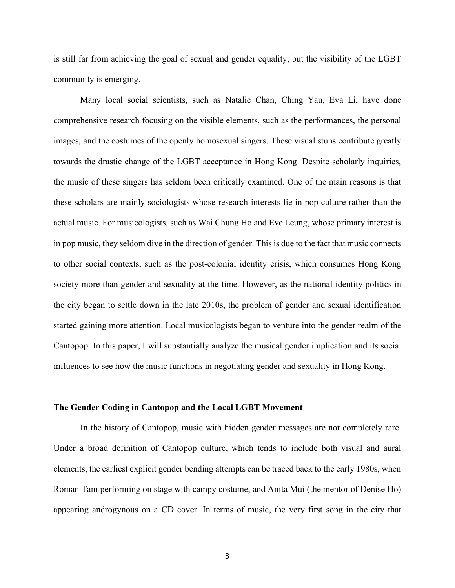is still far from achieving the goal of sexual and gender equality, but the visibility of the LGBT community is emerging.

Many local social scientists, such as Natalie Chan, Ching Yau, Eva Li, have done comprehensive research focusing on the visible elements, such as the performances, the personal images, and the costumes of the openly homosexual singers. These visual stuns contribute greatly towards the drastic change of the LGBT acceptance in Hong Kong. Despite scholarly inquiries, the music of these singers has seldom been critically examined. One of the main reasons is that these scholars are mainly sociologists whose research interests lie in pop culture rather than the actual music. For musicologists, such as Wai Chung Ho and Eve Leung, whose primary interest is in pop music, they seldom dive in the direction of gender. This is due to the fact that music connects to other social contexts, such as the post-colonial identity crisis, which consumes Hong Kong society more than gender and sexuality at the time. However, as the national identity politics in the city began to settle down in the late 2010s, the problem of gender and sexual identification started gaining more attention. Local musicologists began to venture into the gender realm of the Cantopop. In this paper, I will substantially analyze the musical gender implication and its social influences to see how the music functions in negotiating gender and sexuality in Hong Kong.

#### **The Gender Coding in Cantopop and the Local LGBT Movement**

In the history of Cantopop, music with hidden gender messages are not completely rare. Under a broad definition of Cantopop culture, which tends to include both visual and aural elements, the earliest explicit gender bending attempts can be traced back to the early 1980s, when Roman Tam performing on stage with campy costume, and Anita Mui (the mentor of Denise Ho) appearing androgynous on a CD cover. In terms of music, the very first song in the city that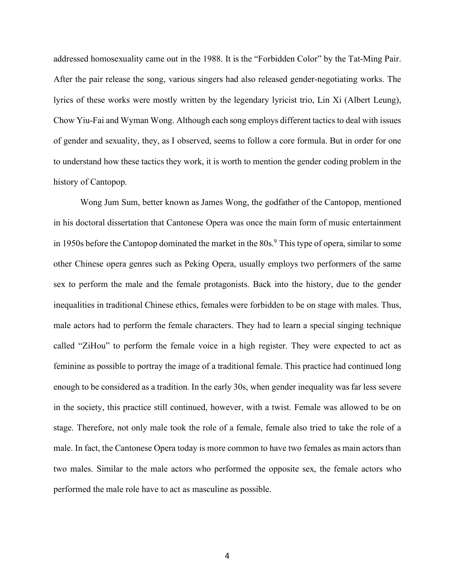addressed homosexuality came out in the 1988. It is the "Forbidden Color" by the Tat-Ming Pair. After the pair release the song, various singers had also released gender-negotiating works. The lyrics of these works were mostly written by the legendary lyricist trio, Lin Xi (Albert Leung), Chow Yiu-Fai and Wyman Wong. Although each song employs different tactics to deal with issues of gender and sexuality, they, as I observed, seems to follow a core formula. But in order for one to understand how these tactics they work, it is worth to mention the gender coding problem in the history of Cantopop.

Wong Jum Sum, better known as James Wong, the godfather of the Cantopop, mentioned in his doctoral dissertation that Cantonese Opera was once the main form of music entertainment in 1950s before the Cantopop dominated the market in the 80s.<sup>9</sup> This type of opera, similar to some other Chinese opera genres such as Peking Opera, usually employs two performers of the same sex to perform the male and the female protagonists. Back into the history, due to the gender inequalities in traditional Chinese ethics, females were forbidden to be on stage with males. Thus, male actors had to perform the female characters. They had to learn a special singing technique called "ZiHou" to perform the female voice in a high register. They were expected to act as feminine as possible to portray the image of a traditional female. This practice had continued long enough to be considered as a tradition. In the early 30s, when gender inequality was far less severe in the society, this practice still continued, however, with a twist. Female was allowed to be on stage. Therefore, not only male took the role of a female, female also tried to take the role of a male. In fact, the Cantonese Opera today is more common to have two females as main actors than two males. Similar to the male actors who performed the opposite sex, the female actors who performed the male role have to act as masculine as possible.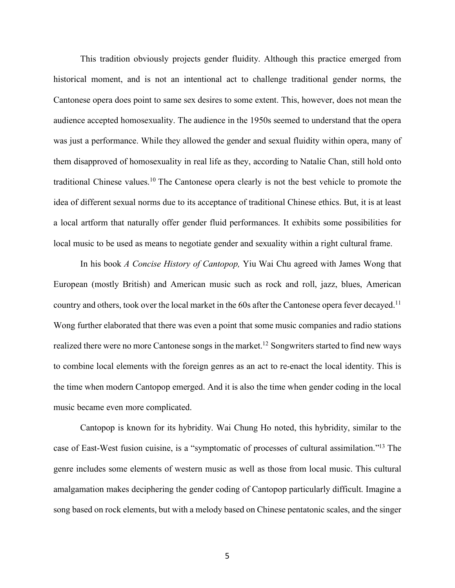This tradition obviously projects gender fluidity. Although this practice emerged from historical moment, and is not an intentional act to challenge traditional gender norms, the Cantonese opera does point to same sex desires to some extent. This, however, does not mean the audience accepted homosexuality. The audience in the 1950s seemed to understand that the opera was just a performance. While they allowed the gender and sexual fluidity within opera, many of them disapproved of homosexuality in real life as they, according to Natalie Chan, still hold onto traditional Chinese values. <sup>10</sup> The Cantonese opera clearly is not the best vehicle to promote the idea of different sexual norms due to its acceptance of traditional Chinese ethics. But, it is at least a local artform that naturally offer gender fluid performances. It exhibits some possibilities for local music to be used as means to negotiate gender and sexuality within a right cultural frame.

In his book *A Concise History of Cantopop,* Yiu Wai Chu agreed with James Wong that European (mostly British) and American music such as rock and roll, jazz, blues, American country and others, took over the local market in the 60s after the Cantonese opera fever decayed.<sup>11</sup> Wong further elaborated that there was even a point that some music companies and radio stations realized there were no more Cantonese songs in the market.<sup>12</sup> Songwriters started to find new ways to combine local elements with the foreign genres as an act to re-enact the local identity. This is the time when modern Cantopop emerged. And it is also the time when gender coding in the local music became even more complicated.

Cantopop is known for its hybridity. Wai Chung Ho noted, this hybridity, similar to the case of East-West fusion cuisine, is a "symptomatic of processes of cultural assimilation."13 The genre includes some elements of western music as well as those from local music. This cultural amalgamation makes deciphering the gender coding of Cantopop particularly difficult. Imagine a song based on rock elements, but with a melody based on Chinese pentatonic scales, and the singer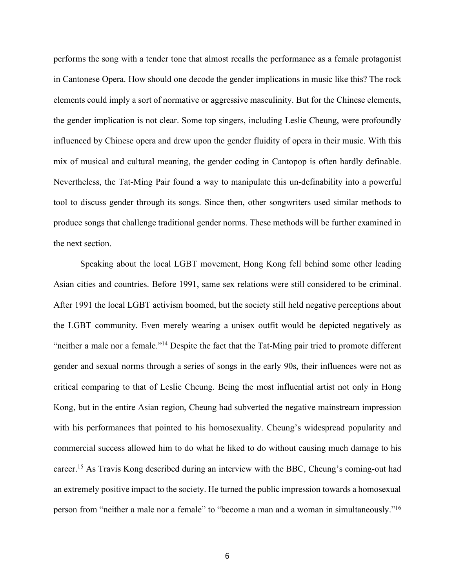performs the song with a tender tone that almost recalls the performance as a female protagonist in Cantonese Opera. How should one decode the gender implications in music like this? The rock elements could imply a sort of normative or aggressive masculinity. But for the Chinese elements, the gender implication is not clear. Some top singers, including Leslie Cheung, were profoundly influenced by Chinese opera and drew upon the gender fluidity of opera in their music. With this mix of musical and cultural meaning, the gender coding in Cantopop is often hardly definable. Nevertheless, the Tat-Ming Pair found a way to manipulate this un-definability into a powerful tool to discuss gender through its songs. Since then, other songwriters used similar methods to produce songs that challenge traditional gender norms. These methods will be further examined in the next section.

Speaking about the local LGBT movement, Hong Kong fell behind some other leading Asian cities and countries. Before 1991, same sex relations were still considered to be criminal. After 1991 the local LGBT activism boomed, but the society still held negative perceptions about the LGBT community. Even merely wearing a unisex outfit would be depicted negatively as "neither a male nor a female."14 Despite the fact that the Tat-Ming pair tried to promote different gender and sexual norms through a series of songs in the early 90s, their influences were not as critical comparing to that of Leslie Cheung. Being the most influential artist not only in Hong Kong, but in the entire Asian region, Cheung had subverted the negative mainstream impression with his performances that pointed to his homosexuality. Cheung's widespread popularity and commercial success allowed him to do what he liked to do without causing much damage to his career.15 As Travis Kong described during an interview with the BBC, Cheung's coming-out had an extremely positive impact to the society. He turned the public impression towards a homosexual person from "neither a male nor a female" to "become a man and a woman in simultaneously."16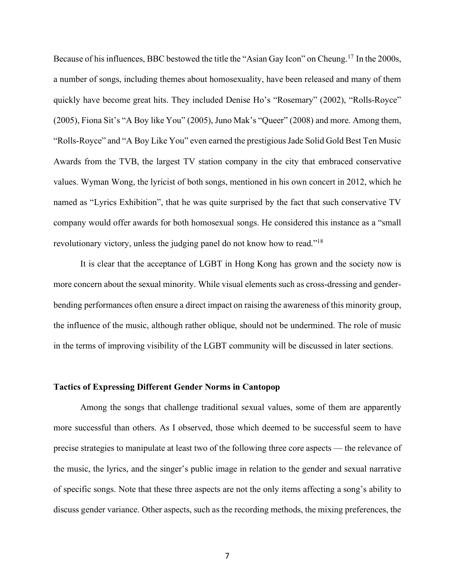Because of his influences, BBC bestowed the title the "Asian Gay Icon" on Cheung.<sup>17</sup> In the 2000s, a number of songs, including themes about homosexuality, have been released and many of them quickly have become great hits. They included Denise Ho's "Rosemary" (2002), "Rolls-Royce" (2005), Fiona Sit's "A Boy like You" (2005), Juno Mak's "Queer" (2008) and more. Among them, "Rolls-Royce" and "A Boy Like You" even earned the prestigious Jade Solid Gold Best Ten Music Awards from the TVB, the largest TV station company in the city that embraced conservative values. Wyman Wong, the lyricist of both songs, mentioned in his own concert in 2012, which he named as "Lyrics Exhibition", that he was quite surprised by the fact that such conservative TV company would offer awards for both homosexual songs. He considered this instance as a "small revolutionary victory, unless the judging panel do not know how to read."18

It is clear that the acceptance of LGBT in Hong Kong has grown and the society now is more concern about the sexual minority. While visual elements such as cross-dressing and genderbending performances often ensure a direct impact on raising the awareness of this minority group, the influence of the music, although rather oblique, should not be undermined. The role of music in the terms of improving visibility of the LGBT community will be discussed in later sections.

#### **Tactics of Expressing Different Gender Norms in Cantopop**

Among the songs that challenge traditional sexual values, some of them are apparently more successful than others. As I observed, those which deemed to be successful seem to have precise strategies to manipulate at least two of the following three core aspects — the relevance of the music, the lyrics, and the singer's public image in relation to the gender and sexual narrative of specific songs. Note that these three aspects are not the only items affecting a song's ability to discuss gender variance. Other aspects, such as the recording methods, the mixing preferences, the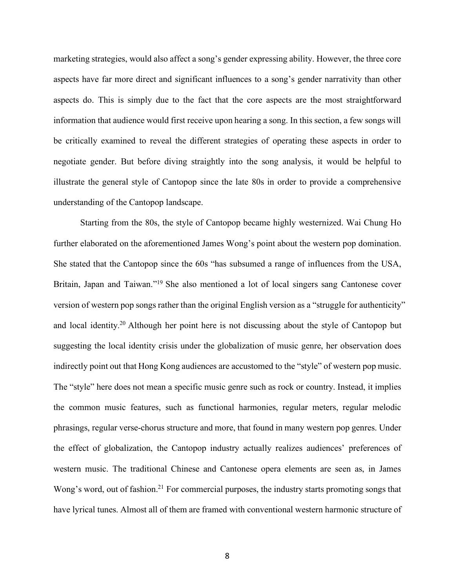marketing strategies, would also affect a song's gender expressing ability. However, the three core aspects have far more direct and significant influences to a song's gender narrativity than other aspects do. This is simply due to the fact that the core aspects are the most straightforward information that audience would first receive upon hearing a song. In this section, a few songs will be critically examined to reveal the different strategies of operating these aspects in order to negotiate gender. But before diving straightly into the song analysis, it would be helpful to illustrate the general style of Cantopop since the late 80s in order to provide a comprehensive understanding of the Cantopop landscape.

Starting from the 80s, the style of Cantopop became highly westernized. Wai Chung Ho further elaborated on the aforementioned James Wong's point about the western pop domination. She stated that the Cantopop since the 60s "has subsumed a range of influences from the USA, Britain, Japan and Taiwan."19 She also mentioned a lot of local singers sang Cantonese cover version of western pop songs rather than the original English version as a "struggle for authenticity" and local identity.20 Although her point here is not discussing about the style of Cantopop but suggesting the local identity crisis under the globalization of music genre, her observation does indirectly point out that Hong Kong audiences are accustomed to the "style" of western pop music. The "style" here does not mean a specific music genre such as rock or country. Instead, it implies the common music features, such as functional harmonies, regular meters, regular melodic phrasings, regular verse-chorus structure and more, that found in many western pop genres. Under the effect of globalization, the Cantopop industry actually realizes audiences' preferences of western music. The traditional Chinese and Cantonese opera elements are seen as, in James Wong's word, out of fashion.<sup>21</sup> For commercial purposes, the industry starts promoting songs that have lyrical tunes. Almost all of them are framed with conventional western harmonic structure of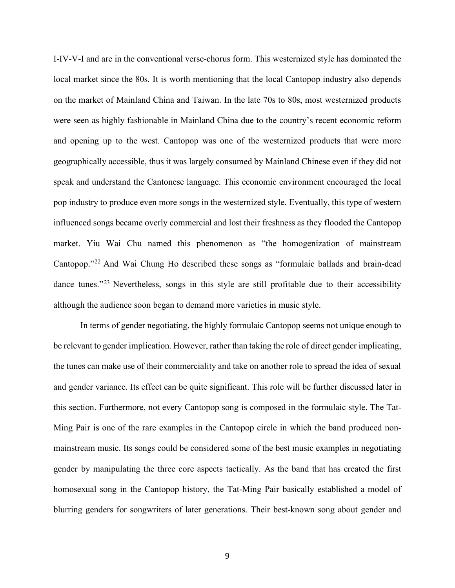I-IV-V-I and are in the conventional verse-chorus form. This westernized style has dominated the local market since the 80s. It is worth mentioning that the local Cantopop industry also depends on the market of Mainland China and Taiwan. In the late 70s to 80s, most westernized products were seen as highly fashionable in Mainland China due to the country's recent economic reform and opening up to the west. Cantopop was one of the westernized products that were more geographically accessible, thus it was largely consumed by Mainland Chinese even if they did not speak and understand the Cantonese language. This economic environment encouraged the local pop industry to produce even more songs in the westernized style. Eventually, this type of western influenced songs became overly commercial and lost their freshness as they flooded the Cantopop market. Yiu Wai Chu named this phenomenon as "the homogenization of mainstream Cantopop."22 And Wai Chung Ho described these songs as "formulaic ballads and brain-dead dance tunes."<sup>23</sup> Nevertheless, songs in this style are still profitable due to their accessibility although the audience soon began to demand more varieties in music style.

In terms of gender negotiating, the highly formulaic Cantopop seems not unique enough to be relevant to gender implication. However, rather than taking the role of direct gender implicating, the tunes can make use of their commerciality and take on another role to spread the idea of sexual and gender variance. Its effect can be quite significant. This role will be further discussed later in this section. Furthermore, not every Cantopop song is composed in the formulaic style. The Tat-Ming Pair is one of the rare examples in the Cantopop circle in which the band produced nonmainstream music. Its songs could be considered some of the best music examples in negotiating gender by manipulating the three core aspects tactically. As the band that has created the first homosexual song in the Cantopop history, the Tat-Ming Pair basically established a model of blurring genders for songwriters of later generations. Their best-known song about gender and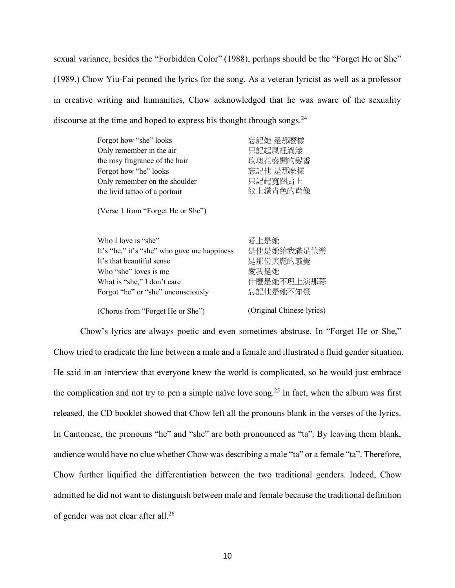sexual variance, besides the "Forbidden Color" (1988), perhaps should be the "Forget He or She" (1989.) Chow Yiu-Fai penned the lyrics for the song. As a veteran lyricist as well as a professor in creative writing and humanities, Chow acknowledged that he was aware of the sexuality discourse at the time and hoped to express his thought through songs.<sup>24</sup>

| Forgot how "she" looks                      | 忘記她 是那麼樣  |
|---------------------------------------------|-----------|
| Only remember in the air                    | 只記起風裡淌漾   |
| the rosy fragrance of the hair              | 玫瑰花盛開的髮香  |
| Forgot how "he" looks                       | 忘記他 是那麼樣  |
| Only remember on the shoulder               | 只記起寬闊肩上   |
| the livid tattoo of a portrait              | 紋上鐵青色的肖像  |
| (Verse 1 from "Forget He or She")           |           |
| Who I love is "she"                         | 愛上是她      |
| It's "he." it's "she" who gave me happiness | 是他是她給我滿足快 |

| VV HULLIUVU IO DIIU                         | ''々 上 ストー メルリ                                                                                                                                                                                                                                                                                                                                                                           |
|---------------------------------------------|-----------------------------------------------------------------------------------------------------------------------------------------------------------------------------------------------------------------------------------------------------------------------------------------------------------------------------------------------------------------------------------------|
| It's "he," it's "she" who gave me happiness | 是他是她給我滿足快樂                                                                                                                                                                                                                                                                                                                                                                              |
| It's that beautiful sense                   | 是那份美麗的感覺                                                                                                                                                                                                                                                                                                                                                                                |
| Who "she" loves is me                       | 愛我是她                                                                                                                                                                                                                                                                                                                                                                                    |
| What is "she," I don't care                 | 什麼是她不理上演那幕                                                                                                                                                                                                                                                                                                                                                                              |
| Forgot "he" or "she" unconsciously          | 忘記他是她不知覺                                                                                                                                                                                                                                                                                                                                                                                |
|                                             |                                                                                                                                                                                                                                                                                                                                                                                         |
|                                             | $(\bigcap_{i=1}^{n} \dots \bigcup_{i=1}^{n} \bigcap \bigcup_{i=1}^{n} \dots \bigcup_{i=n}^{n} \bigcup_{i=1}^{n} \bigcup_{i=1}^{n} \bigcup_{i=1}^{n} \bigcup_{i=1}^{n} \bigcup_{i=1}^{n} \bigcup_{i=1}^{n} \bigcup_{i=1}^{n} \bigcup_{i=1}^{n} \bigcup_{i=1}^{n} \bigcup_{i=1}^{n} \bigcup_{i=1}^{n} \bigcup_{i=1}^{n} \bigcup_{i=1}^{n} \bigcup_{i=1}^{n} \bigcup_{i=1}^{n} \bigcup_{i$ |

(Chorus from "Forget He or She")

(Original Chinese lyrics)

Chow's lyrics are always poetic and even sometimes abstruse. In "Forget He or She," Chow tried to eradicate the line between a male and a female and illustrated a fluid gender situation. He said in an interview that everyone knew the world is complicated, so he would just embrace the complication and not try to pen a simple naïve love song.25 In fact, when the album was first released, the CD booklet showed that Chow left all the pronouns blank in the verses of the lyrics. In Cantonese, the pronouns "he" and "she" are both pronounced as "ta". By leaving them blank, audience would have no clue whether Chow was describing a male "ta" or a female "ta". Therefore, Chow further liquified the differentiation between the two traditional genders. Indeed, Chow admitted he did not want to distinguish between male and female because the traditional definition of gender was not clear after all. 26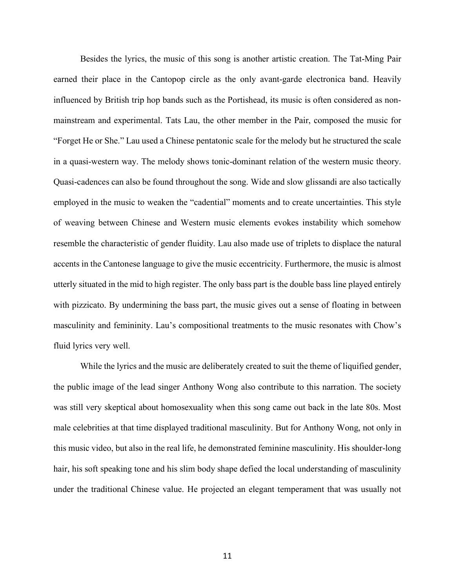Besides the lyrics, the music of this song is another artistic creation. The Tat-Ming Pair earned their place in the Cantopop circle as the only avant-garde electronica band. Heavily influenced by British trip hop bands such as the Portishead, its music is often considered as nonmainstream and experimental. Tats Lau, the other member in the Pair, composed the music for "Forget He or She." Lau used a Chinese pentatonic scale for the melody but he structured the scale in a quasi-western way. The melody shows tonic-dominant relation of the western music theory. Quasi-cadences can also be found throughout the song. Wide and slow glissandi are also tactically employed in the music to weaken the "cadential" moments and to create uncertainties. This style of weaving between Chinese and Western music elements evokes instability which somehow resemble the characteristic of gender fluidity. Lau also made use of triplets to displace the natural accents in the Cantonese language to give the music eccentricity. Furthermore, the music is almost utterly situated in the mid to high register. The only bass part is the double bass line played entirely with pizzicato. By undermining the bass part, the music gives out a sense of floating in between masculinity and femininity. Lau's compositional treatments to the music resonates with Chow's fluid lyrics very well.

While the lyrics and the music are deliberately created to suit the theme of liquified gender, the public image of the lead singer Anthony Wong also contribute to this narration. The society was still very skeptical about homosexuality when this song came out back in the late 80s. Most male celebrities at that time displayed traditional masculinity. But for Anthony Wong, not only in this music video, but also in the real life, he demonstrated feminine masculinity. His shoulder-long hair, his soft speaking tone and his slim body shape defied the local understanding of masculinity under the traditional Chinese value. He projected an elegant temperament that was usually not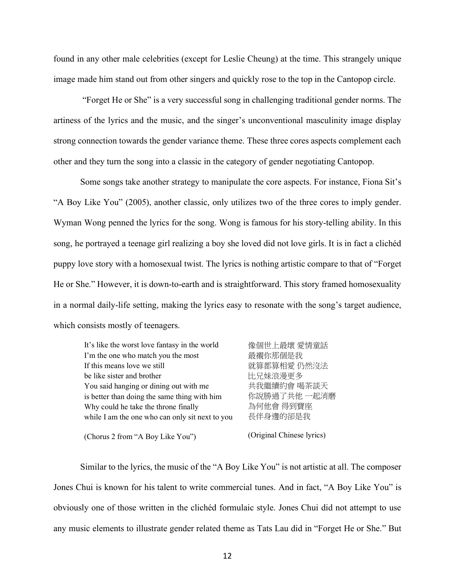found in any other male celebrities (except for Leslie Cheung) at the time. This strangely unique image made him stand out from other singers and quickly rose to the top in the Cantopop circle.

"Forget He or She" is a very successful song in challenging traditional gender norms. The artiness of the lyrics and the music, and the singer's unconventional masculinity image display strong connection towards the gender variance theme. These three cores aspects complement each other and they turn the song into a classic in the category of gender negotiating Cantopop.

Some songs take another strategy to manipulate the core aspects. For instance, Fiona Sit's "A Boy Like You" (2005), another classic, only utilizes two of the three cores to imply gender. Wyman Wong penned the lyrics for the song. Wong is famous for his story-telling ability. In this song, he portrayed a teenage girl realizing a boy she loved did not love girls. It is in fact a clichéd puppy love story with a homosexual twist. The lyrics is nothing artistic compare to that of "Forget He or She." However, it is down-to-earth and is straightforward. This story framed homosexuality in a normal daily-life setting, making the lyrics easy to resonate with the song's target audience, which consists mostly of teenagers.

| It's like the worst love fantasy in the world   | 像個世上最壞 愛情童話               |
|-------------------------------------------------|---------------------------|
| I'm the one who match you the most              | 最襯你那個是我                   |
| If this means love we still                     | 就算都算相愛 仍然沒法               |
| be like sister and brother                      | 比兄妹浪漫更多                   |
| You said hanging or dining out with me          | 共我繼續約會 喝茶談天               |
| is better than doing the same thing with him    | 你說勝過了共他 一起消磨              |
| Why could he take the throne finally            | 為何他會 得到寶座                 |
| while I am the one who can only sit next to you | 長伴身邊的卻是我                  |
| (Chorus 2 from "A Boy Like You")                | (Original Chinese lyrics) |

Similar to the lyrics, the music of the "A Boy Like You" is not artistic at all. The composer Jones Chui is known for his talent to write commercial tunes. And in fact, "A Boy Like You" is obviously one of those written in the clichéd formulaic style. Jones Chui did not attempt to use any music elements to illustrate gender related theme as Tats Lau did in "Forget He or She." But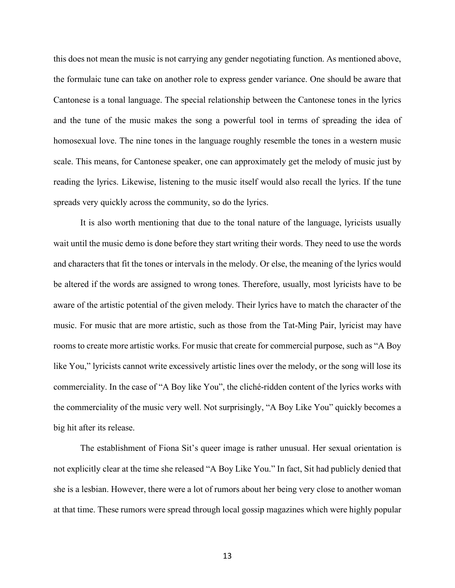this does not mean the music is not carrying any gender negotiating function. As mentioned above, the formulaic tune can take on another role to express gender variance. One should be aware that Cantonese is a tonal language. The special relationship between the Cantonese tones in the lyrics and the tune of the music makes the song a powerful tool in terms of spreading the idea of homosexual love. The nine tones in the language roughly resemble the tones in a western music scale. This means, for Cantonese speaker, one can approximately get the melody of music just by reading the lyrics. Likewise, listening to the music itself would also recall the lyrics. If the tune spreads very quickly across the community, so do the lyrics.

It is also worth mentioning that due to the tonal nature of the language, lyricists usually wait until the music demo is done before they start writing their words. They need to use the words and characters that fit the tones or intervals in the melody. Or else, the meaning of the lyrics would be altered if the words are assigned to wrong tones. Therefore, usually, most lyricists have to be aware of the artistic potential of the given melody. Their lyrics have to match the character of the music. For music that are more artistic, such as those from the Tat-Ming Pair, lyricist may have rooms to create more artistic works. For music that create for commercial purpose, such as "A Boy like You," lyricists cannot write excessively artistic lines over the melody, or the song will lose its commerciality. In the case of "A Boy like You", the cliché-ridden content of the lyrics works with the commerciality of the music very well. Not surprisingly, "A Boy Like You" quickly becomes a big hit after its release.

The establishment of Fiona Sit's queer image is rather unusual. Her sexual orientation is not explicitly clear at the time she released "A Boy Like You." In fact, Sit had publicly denied that she is a lesbian. However, there were a lot of rumors about her being very close to another woman at that time. These rumors were spread through local gossip magazines which were highly popular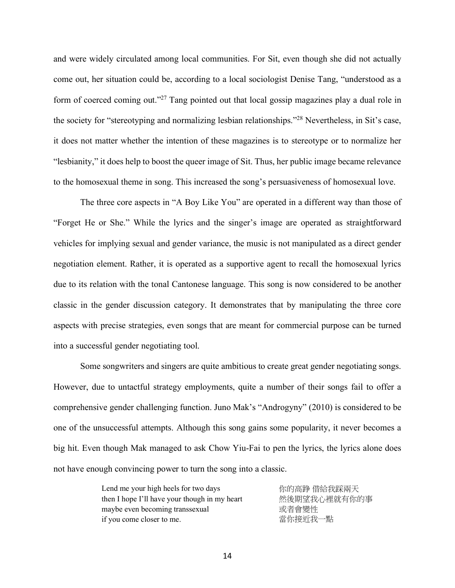and were widely circulated among local communities. For Sit, even though she did not actually come out, her situation could be, according to a local sociologist Denise Tang, "understood as a form of coerced coming out."27 Tang pointed out that local gossip magazines play a dual role in the society for "stereotyping and normalizing lesbian relationships."28 Nevertheless, in Sit's case, it does not matter whether the intention of these magazines is to stereotype or to normalize her "lesbianity," it does help to boost the queer image of Sit. Thus, her public image became relevance to the homosexual theme in song. This increased the song's persuasiveness of homosexual love.

The three core aspects in "A Boy Like You" are operated in a different way than those of "Forget He or She." While the lyrics and the singer's image are operated as straightforward vehicles for implying sexual and gender variance, the music is not manipulated as a direct gender negotiation element. Rather, it is operated as a supportive agent to recall the homosexual lyrics due to its relation with the tonal Cantonese language. This song is now considered to be another classic in the gender discussion category. It demonstrates that by manipulating the three core aspects with precise strategies, even songs that are meant for commercial purpose can be turned into a successful gender negotiating tool.

Some songwriters and singers are quite ambitious to create great gender negotiating songs. However, due to untactful strategy employments, quite a number of their songs fail to offer a comprehensive gender challenging function. Juno Mak's "Androgyny" (2010) is considered to be one of the unsuccessful attempts. Although this song gains some popularity, it never becomes a big hit. Even though Mak managed to ask Chow Yiu-Fai to pen the lyrics, the lyrics alone does not have enough convincing power to turn the song into a classic.

| Lend me your high heels for two days          | 你的高踭 借給我踩兩天  |
|-----------------------------------------------|--------------|
| then I hope I'll have your though in my heart | 然後期望我心裡就有你的事 |
| maybe even becoming transsexual               | 或者會變性        |
| if you come closer to me.                     | 當你接近我一點      |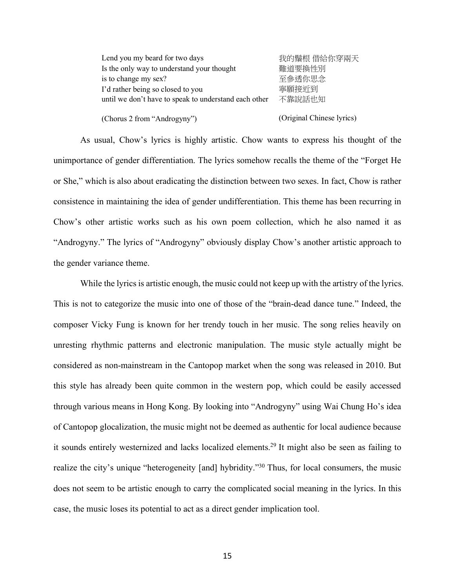| Lend you my beard for two days                        | 我的鬚根 借給你穿兩天 |
|-------------------------------------------------------|-------------|
| Is the only way to understand your thought            | 難道要換性別      |
| is to change my sex?                                  | 至參透你思念      |
| I'd rather being so closed to you                     | 寧願接近到       |
| until we don't have to speak to understand each other | 不靠說話也知      |
|                                                       |             |

(Chorus 2 from "Androgyny")

(Original Chinese lyrics)

As usual, Chow's lyrics is highly artistic. Chow wants to express his thought of the unimportance of gender differentiation. The lyrics somehow recalls the theme of the "Forget He or She," which is also about eradicating the distinction between two sexes. In fact, Chow is rather consistence in maintaining the idea of gender undifferentiation. This theme has been recurring in Chow's other artistic works such as his own poem collection, which he also named it as "Androgyny." The lyrics of "Androgyny" obviously display Chow's another artistic approach to the gender variance theme.

While the lyrics is artistic enough, the music could not keep up with the artistry of the lyrics. This is not to categorize the music into one of those of the "brain-dead dance tune." Indeed, the composer Vicky Fung is known for her trendy touch in her music. The song relies heavily on unresting rhythmic patterns and electronic manipulation. The music style actually might be considered as non-mainstream in the Cantopop market when the song was released in 2010. But this style has already been quite common in the western pop, which could be easily accessed through various means in Hong Kong. By looking into "Androgyny" using Wai Chung Ho's idea of Cantopop glocalization, the music might not be deemed as authentic for local audience because it sounds entirely westernized and lacks localized elements. <sup>29</sup> It might also be seen as failing to realize the city's unique "heterogeneity [and] hybridity."<sup>30</sup> Thus, for local consumers, the music does not seem to be artistic enough to carry the complicated social meaning in the lyrics. In this case, the music loses its potential to act as a direct gender implication tool.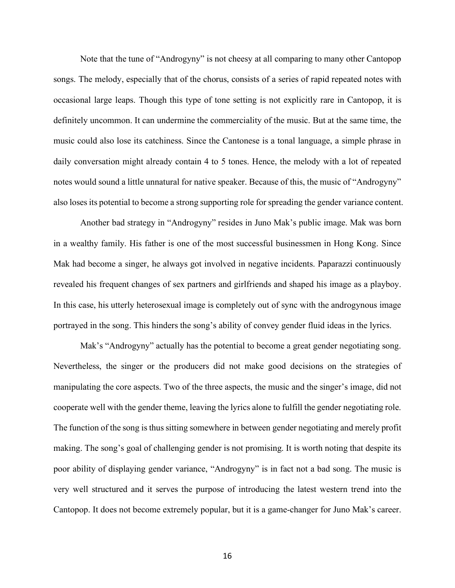Note that the tune of "Androgyny" is not cheesy at all comparing to many other Cantopop songs. The melody, especially that of the chorus, consists of a series of rapid repeated notes with occasional large leaps. Though this type of tone setting is not explicitly rare in Cantopop, it is definitely uncommon. It can undermine the commerciality of the music. But at the same time, the music could also lose its catchiness. Since the Cantonese is a tonal language, a simple phrase in daily conversation might already contain 4 to 5 tones. Hence, the melody with a lot of repeated notes would sound a little unnatural for native speaker. Because of this, the music of "Androgyny" also loses its potential to become a strong supporting role for spreading the gender variance content.

Another bad strategy in "Androgyny" resides in Juno Mak's public image. Mak was born in a wealthy family. His father is one of the most successful businessmen in Hong Kong. Since Mak had become a singer, he always got involved in negative incidents. Paparazzi continuously revealed his frequent changes of sex partners and girlfriends and shaped his image as a playboy. In this case, his utterly heterosexual image is completely out of sync with the androgynous image portrayed in the song. This hinders the song's ability of convey gender fluid ideas in the lyrics.

Mak's "Androgyny" actually has the potential to become a great gender negotiating song. Nevertheless, the singer or the producers did not make good decisions on the strategies of manipulating the core aspects. Two of the three aspects, the music and the singer's image, did not cooperate well with the gender theme, leaving the lyrics alone to fulfill the gender negotiating role. The function of the song is thus sitting somewhere in between gender negotiating and merely profit making. The song's goal of challenging gender is not promising. It is worth noting that despite its poor ability of displaying gender variance, "Androgyny" is in fact not a bad song. The music is very well structured and it serves the purpose of introducing the latest western trend into the Cantopop. It does not become extremely popular, but it is a game-changer for Juno Mak's career.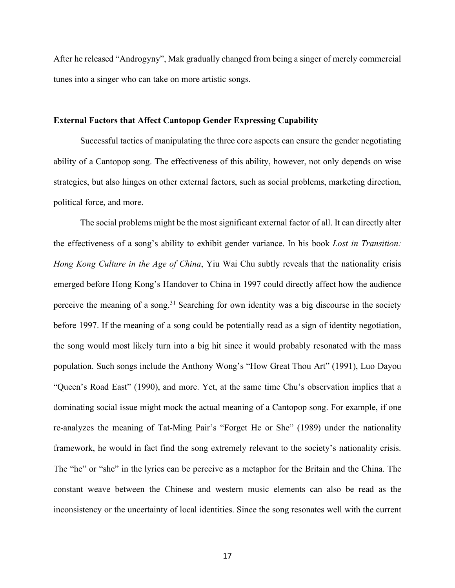After he released "Androgyny", Mak gradually changed from being a singer of merely commercial tunes into a singer who can take on more artistic songs.

#### **External Factors that Affect Cantopop Gender Expressing Capability**

Successful tactics of manipulating the three core aspects can ensure the gender negotiating ability of a Cantopop song. The effectiveness of this ability, however, not only depends on wise strategies, but also hinges on other external factors, such as social problems, marketing direction, political force, and more.

The social problems might be the most significant external factor of all. It can directly alter the effectiveness of a song's ability to exhibit gender variance. In his book *Lost in Transition: Hong Kong Culture in the Age of China*, Yiu Wai Chu subtly reveals that the nationality crisis emerged before Hong Kong's Handover to China in 1997 could directly affect how the audience perceive the meaning of a song.<sup>31</sup> Searching for own identity was a big discourse in the society before 1997. If the meaning of a song could be potentially read as a sign of identity negotiation, the song would most likely turn into a big hit since it would probably resonated with the mass population. Such songs include the Anthony Wong's "How Great Thou Art" (1991), Luo Dayou "Queen's Road East" (1990), and more. Yet, at the same time Chu's observation implies that a dominating social issue might mock the actual meaning of a Cantopop song. For example, if one re-analyzes the meaning of Tat-Ming Pair's "Forget He or She" (1989) under the nationality framework, he would in fact find the song extremely relevant to the society's nationality crisis. The "he" or "she" in the lyrics can be perceive as a metaphor for the Britain and the China. The constant weave between the Chinese and western music elements can also be read as the inconsistency or the uncertainty of local identities. Since the song resonates well with the current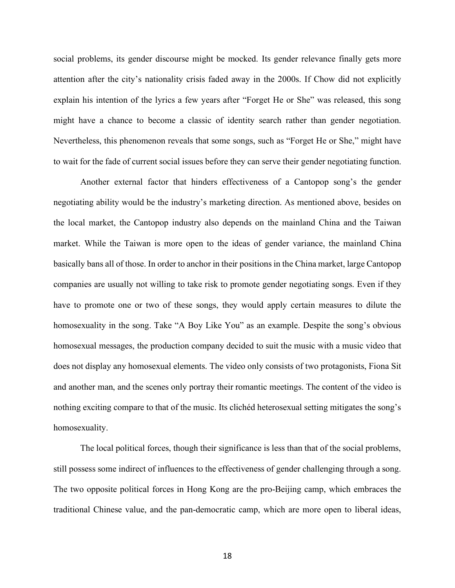social problems, its gender discourse might be mocked. Its gender relevance finally gets more attention after the city's nationality crisis faded away in the 2000s. If Chow did not explicitly explain his intention of the lyrics a few years after "Forget He or She" was released, this song might have a chance to become a classic of identity search rather than gender negotiation. Nevertheless, this phenomenon reveals that some songs, such as "Forget He or She," might have to wait for the fade of current social issues before they can serve their gender negotiating function.

Another external factor that hinders effectiveness of a Cantopop song's the gender negotiating ability would be the industry's marketing direction. As mentioned above, besides on the local market, the Cantopop industry also depends on the mainland China and the Taiwan market. While the Taiwan is more open to the ideas of gender variance, the mainland China basically bans all of those. In order to anchor in their positionsin the China market, large Cantopop companies are usually not willing to take risk to promote gender negotiating songs. Even if they have to promote one or two of these songs, they would apply certain measures to dilute the homosexuality in the song. Take "A Boy Like You" as an example. Despite the song's obvious homosexual messages, the production company decided to suit the music with a music video that does not display any homosexual elements. The video only consists of two protagonists, Fiona Sit and another man, and the scenes only portray their romantic meetings. The content of the video is nothing exciting compare to that of the music. Its clichéd heterosexual setting mitigates the song's homosexuality.

The local political forces, though their significance is less than that of the social problems, still possess some indirect of influences to the effectiveness of gender challenging through a song. The two opposite political forces in Hong Kong are the pro-Beijing camp, which embraces the traditional Chinese value, and the pan-democratic camp, which are more open to liberal ideas,

18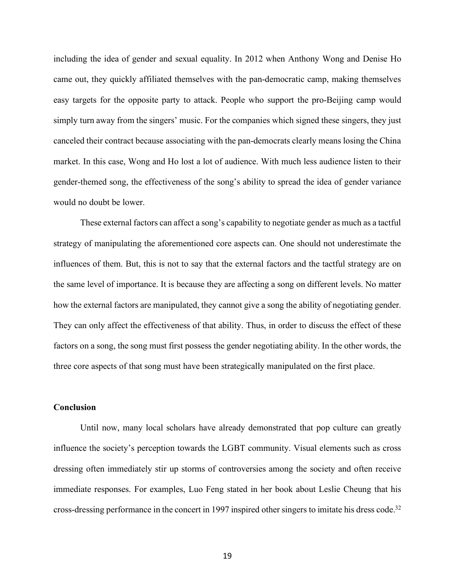including the idea of gender and sexual equality. In 2012 when Anthony Wong and Denise Ho came out, they quickly affiliated themselves with the pan-democratic camp, making themselves easy targets for the opposite party to attack. People who support the pro-Beijing camp would simply turn away from the singers' music. For the companies which signed these singers, they just canceled their contract because associating with the pan-democrats clearly means losing the China market. In this case, Wong and Ho lost a lot of audience. With much less audience listen to their gender-themed song, the effectiveness of the song's ability to spread the idea of gender variance would no doubt be lower.

These external factors can affect a song's capability to negotiate gender as much as a tactful strategy of manipulating the aforementioned core aspects can. One should not underestimate the influences of them. But, this is not to say that the external factors and the tactful strategy are on the same level of importance. It is because they are affecting a song on different levels. No matter how the external factors are manipulated, they cannot give a song the ability of negotiating gender. They can only affect the effectiveness of that ability. Thus, in order to discuss the effect of these factors on a song, the song must first possess the gender negotiating ability. In the other words, the three core aspects of that song must have been strategically manipulated on the first place.

### **Conclusion**

Until now, many local scholars have already demonstrated that pop culture can greatly influence the society's perception towards the LGBT community. Visual elements such as cross dressing often immediately stir up storms of controversies among the society and often receive immediate responses. For examples, Luo Feng stated in her book about Leslie Cheung that his cross-dressing performance in the concert in 1997 inspired other singers to imitate his dress code. 32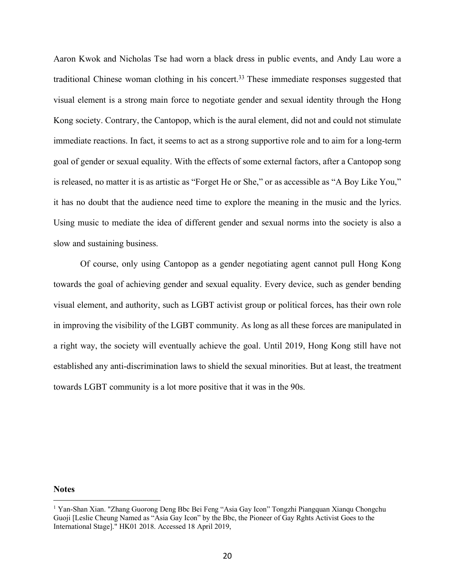Aaron Kwok and Nicholas Tse had worn a black dress in public events, and Andy Lau wore a traditional Chinese woman clothing in his concert.<sup>33</sup> These immediate responses suggested that visual element is a strong main force to negotiate gender and sexual identity through the Hong Kong society. Contrary, the Cantopop, which is the aural element, did not and could not stimulate immediate reactions. In fact, it seems to act as a strong supportive role and to aim for a long-term goal of gender or sexual equality. With the effects of some external factors, after a Cantopop song is released, no matter it is as artistic as "Forget He or She," or as accessible as "A Boy Like You," it has no doubt that the audience need time to explore the meaning in the music and the lyrics. Using music to mediate the idea of different gender and sexual norms into the society is also a slow and sustaining business.

Of course, only using Cantopop as a gender negotiating agent cannot pull Hong Kong towards the goal of achieving gender and sexual equality. Every device, such as gender bending visual element, and authority, such as LGBT activist group or political forces, has their own role in improving the visibility of the LGBT community. As long as all these forces are manipulated in a right way, the society will eventually achieve the goal. Until 2019, Hong Kong still have not established any anti-discrimination laws to shield the sexual minorities. But at least, the treatment towards LGBT community is a lot more positive that it was in the 90s.

#### **Notes**

 $\overline{a}$ 

<sup>1</sup> Yan-Shan Xian. "Zhang Guorong Deng Bbc Bei Feng "Asia Gay Icon" Tongzhi Piangquan Xianqu Chongchu Guoji [Leslie Cheung Named as "Asia Gay Icon" by the Bbc, the Pioneer of Gay Rghts Activist Goes to the International Stage]." HK01 2018. Accessed 18 April 2019,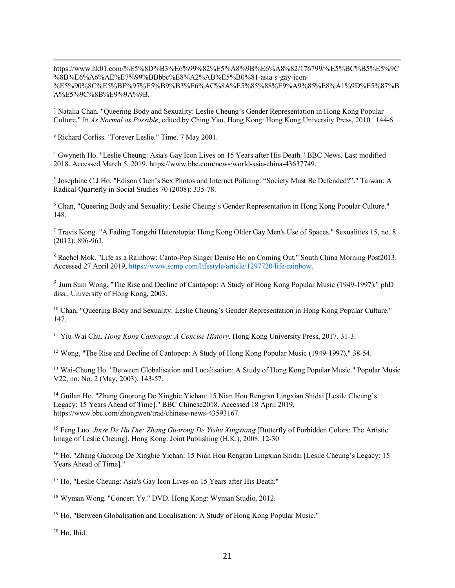$\overline{a}$ https://www.hk01.com/%E5%8D%B3%E6%99%82%E5%A8%9B%E6%A8%82/176799/%E5%BC%B5%E5%9C %8B%E6%A6%AE%E7%99%BBbbc%E8%A2%AB%E5%B0%81-asia-s-gay-icon- %E5%90%8C%E5%BF%97%E5%B9%B3%E6%AC%8A%E5%85%88%E9%A9%85%E8%A1%9D%E5%87%B A%E5%9C%8B%E9%9A%9B.

<sup>2</sup> Natalia Chan. "Queering Body and Sexuality: Leslie Cheung's Gender Representation in Hong Kong Popular Culture." In *As Normal as Possible*, edited by Ching Yau. Hong Kong: Hong Kong University Press, 2010. 144-6.

<sup>3</sup> Richard Corliss. "Forever Leslie." Time. 7 May 2001.

<sup>4</sup> Gwyneth Ho. "Leslie Cheung: Asia's Gay Icon Lives on 15 Years after His Death." BBC News. Last modified 2018. Accessed March 5, 2019. https://www.bbc.com/news/world-asia-china-43637749.

<sup>5</sup> Josephine C.J Ho. "Edison Chen's Sex Photos and Internet Policing: "Society Must Be Defended?"." Taiwan: A Radical Quarterly in Social Studies 70 (2008): 335-78.

<sup>6</sup> Chan, "Queering Body and Sexuality: Leslie Cheung's Gender Representation in Hong Kong Popular Culture." 148.

<sup>7</sup> Travis Kong. "A Fading Tongzhi Heterotopia: Hong Kong Older Gay Men's Use of Spaces." Sexualities 15, no. 8 (2012): 896-961.

<sup>8</sup> Rachel Mok. "Life as a Rainbow: Canto-Pop Singer Denise Ho on Coming Out." South China Morning Post2013. Accessed 27 April 2019, https://www.scmp.com/lifestyle/article/1297720/life-rainbow.

<sup>9</sup> Jum Sum Wong. "The Rise and Decline of Cantopop: A Study of Hong Kong Popular Music (1949-1997)." phD diss., University of Hong Kong, 2003.

<sup>10</sup> Chan, "Queering Body and Sexuality: Leslie Cheung's Gender Representation in Hong Kong Popular Culture." 147.

<sup>11</sup> Yiu-Wai Chu. *Hong Kong Cantopop: A Concise History*. Hong Kong University Press, 2017. 31-3.

<sup>12</sup> Wong, "The Rise and Decline of Cantopop: A Study of Hong Kong Popular Music (1949-1997)." 38-54.

<sup>13</sup> Wai-Chung Ho. "Between Globalisation and Localisation: A Study of Hong Kong Popular Music." Popular Music V22, no. No. 2 (May, 2003): 143-57.

<sup>14</sup> Guilan Ho. "Zhang Guorong De Xingbie Yichan: 15 Nian Hou Rengran Lingxian Shidai [Lesile Cheung's Legacy: 15 Years Ahead of Time]." BBC Chinese2018. Accessed 18 April 2019, https://www.bbc.com/zhongwen/trad/chinese-news-43593167.

<sup>15</sup> Feng Luo. *Jinse De Hu Die: Zhang Guorong De Yishu Xingxiang* [Butterfly of Forbidden Colors: The Artistic Image of Leslie Cheung]. Hong Kong: Joint Publishing (H.K.), 2008. 12-30

<sup>16</sup> Ho. "Zhang Guorong De Xingbie Yichan: 15 Nian Hou Rengran Lingxian Shidai [Lesile Cheung's Legacy: 15 Years Ahead of Time]."

<sup>17</sup> Ho, "Leslie Cheung: Asia's Gay Icon Lives on 15 Years after His Death."

<sup>18</sup> Wyman Wong. "Concert Yy." DVD. Hong Kong: Wyman Studio, 2012.

<sup>19</sup> Ho, "Between Globalisation and Localisation: A Study of Hong Kong Popular Music."

 $20$  Ho, Ibid.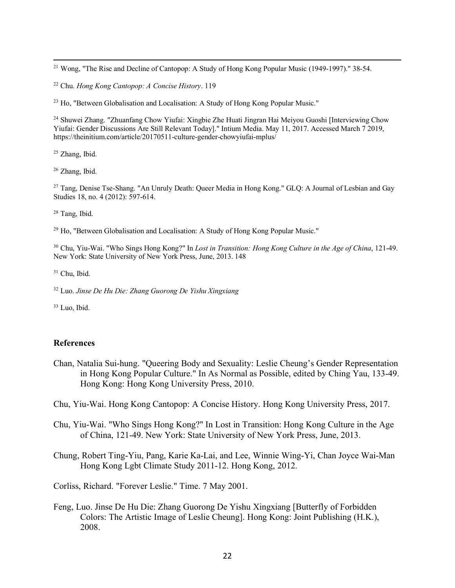<sup>21</sup> Wong, "The Rise and Decline of Cantopop: A Study of Hong Kong Popular Music (1949-1997)." 38-54.

<sup>22</sup> Chu. *Hong Kong Cantopop: A Concise History*. 119

<sup>23</sup> Ho, "Between Globalisation and Localisation: A Study of Hong Kong Popular Music."

<sup>24</sup> Shuwei Zhang. "Zhuanfang Chow Yiufai: Xingbie Zhe Huati Jingran Hai Meiyou Guoshi [Interviewing Chow] Yiufai: Gender Discussions Are Still Relevant Today]." Intium Media. May 11, 2017. Accessed March 7 2019, https://theinitium.com/article/20170511-culture-gender-chowyiufai-mplus/

<sup>25</sup> Zhang, Ibid.

 $\overline{a}$ 

<sup>26</sup> Zhang, Ibid.

<sup>27</sup> Tang, Denise Tse-Shang. "An Unruly Death: Queer Media in Hong Kong." GLQ: A Journal of Lesbian and Gay Studies 18, no. 4 (2012): 597-614.

<sup>28</sup> Tang, Ibid.

<sup>29</sup> Ho, "Between Globalisation and Localisation: A Study of Hong Kong Popular Music."

<sup>30</sup> Chu, Yiu-Wai. "Who Sings Hong Kong?" In *Lost in Transition: Hong Kong Culture in the Age of China*, 121-49. New York: State University of New York Press, June, 2013. 148

<sup>31</sup> Chu, Ibid.

<sup>32</sup> Luo. *Jinse De Hu Die: Zhang Guorong De Yishu Xingxiang*

<sup>33</sup> Luo, Ibid.

## **References**

Chan, Natalia Sui-hung. "Queering Body and Sexuality: Leslie Cheung's Gender Representation in Hong Kong Popular Culture." In As Normal as Possible, edited by Ching Yau, 133-49. Hong Kong: Hong Kong University Press, 2010.

Chu, Yiu-Wai. Hong Kong Cantopop: A Concise History. Hong Kong University Press, 2017.

Chu, Yiu-Wai. "Who Sings Hong Kong?" In Lost in Transition: Hong Kong Culture in the Age of China, 121-49. New York: State University of New York Press, June, 2013.

Chung, Robert Ting-Yiu, Pang, Karie Ka-Lai, and Lee, Winnie Wing-Yi, Chan Joyce Wai-Man Hong Kong Lgbt Climate Study 2011-12. Hong Kong, 2012.

Corliss, Richard. "Forever Leslie." Time. 7 May 2001.

Feng, Luo. Jinse De Hu Die: Zhang Guorong De Yishu Xingxiang [Butterfly of Forbidden Colors: The Artistic Image of Leslie Cheung]. Hong Kong: Joint Publishing (H.K.), 2008.